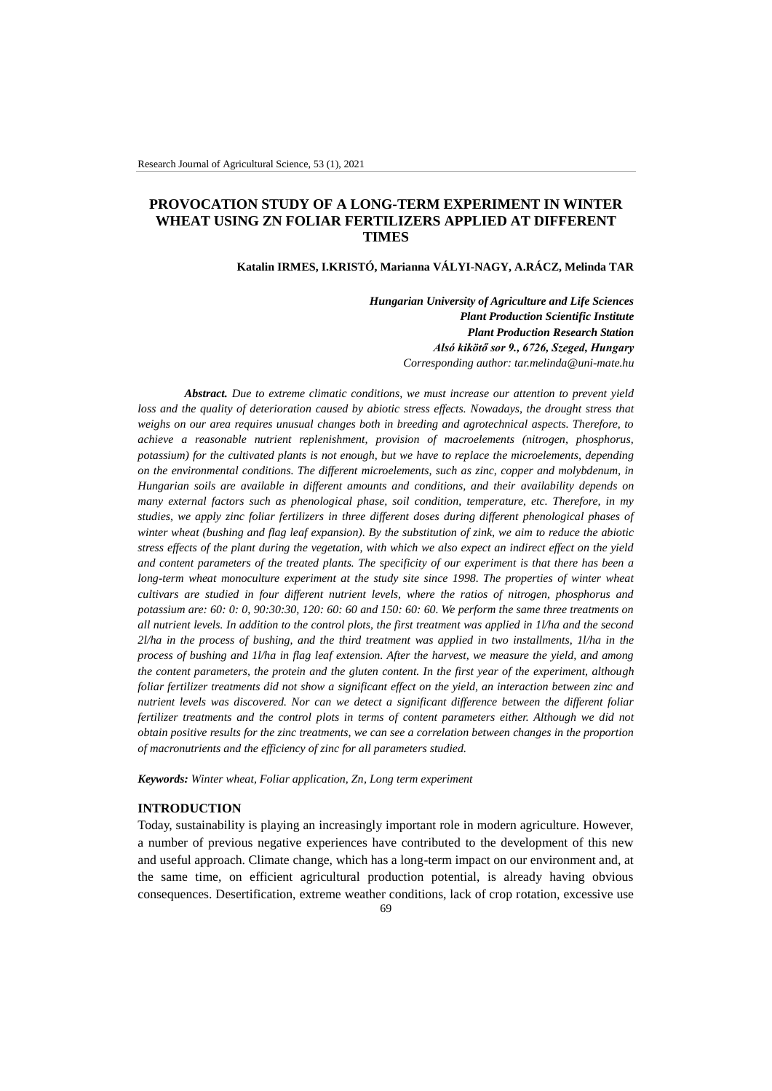# **PROVOCATION STUDY OF A LONG-TERM EXPERIMENT IN WINTER WHEAT USING ZN FOLIAR FERTILIZERS APPLIED AT DIFFERENT TIMES**

**Katalin IRMES, I.KRISTÓ, Marianna VÁLYI-NAGY, A.RÁCZ, Melinda TAR**

*Hungarian University of Agriculture and Life Sciences Plant Production Scientific Institute Plant Production Research Station Alsó kikötő sor 9., 6726, Szeged, Hungary Corresponding author: tar.melinda@uni-mate.hu*

*Abstract. Due to extreme climatic conditions, we must increase our attention to prevent yield*  loss and the quality of deterioration caused by abiotic stress effects. Nowadays, the drought stress that *weighs on our area requires unusual changes both in breeding and agrotechnical aspects. Therefore, to achieve a reasonable nutrient replenishment, provision of macroelements (nitrogen, phosphorus, potassium) for the cultivated plants is not enough, but we have to replace the microelements, depending on the environmental conditions. The different microelements, such as zinc, copper and molybdenum, in Hungarian soils are available in different amounts and conditions, and their availability depends on many external factors such as phenological phase, soil condition, temperature, etc. Therefore, in my studies, we apply zinc foliar fertilizers in three different doses during different phenological phases of winter wheat (bushing and flag leaf expansion). By the substitution of zink, we aim to reduce the abiotic stress effects of the plant during the vegetation, with which we also expect an indirect effect on the yield and content parameters of the treated plants. The specificity of our experiment is that there has been a long-term wheat monoculture experiment at the study site since 1998. The properties of winter wheat cultivars are studied in four different nutrient levels, where the ratios of nitrogen, phosphorus and potassium are: 60: 0: 0, 90:30:30, 120: 60: 60 and 150: 60: 60. We perform the same three treatments on all nutrient levels. In addition to the control plots, the first treatment was applied in 1l/ha and the second 2l/ha in the process of bushing, and the third treatment was applied in two installments, 1l/ha in the process of bushing and 1l/ha in flag leaf extension. After the harvest, we measure the yield, and among the content parameters, the protein and the gluten content. In the first year of the experiment, although foliar fertilizer treatments did not show a significant effect on the yield, an interaction between zinc and nutrient levels was discovered. Nor can we detect a significant difference between the different foliar*  fertilizer treatments and the control plots in terms of content parameters either. Although we did not *obtain positive results for the zinc treatments, we can see a correlation between changes in the proportion of macronutrients and the efficiency of zinc for all parameters studied.*

*Keywords: Winter wheat, Foliar application, Zn, Long term experiment*

# **INTRODUCTION**

Today, sustainability is playing an increasingly important role in modern agriculture. However, a number of previous negative experiences have contributed to the development of this new and useful approach. Climate change, which has a long-term impact on our environment and, at the same time, on efficient agricultural production potential, is already having obvious consequences. Desertification, extreme weather conditions, lack of crop rotation, excessive use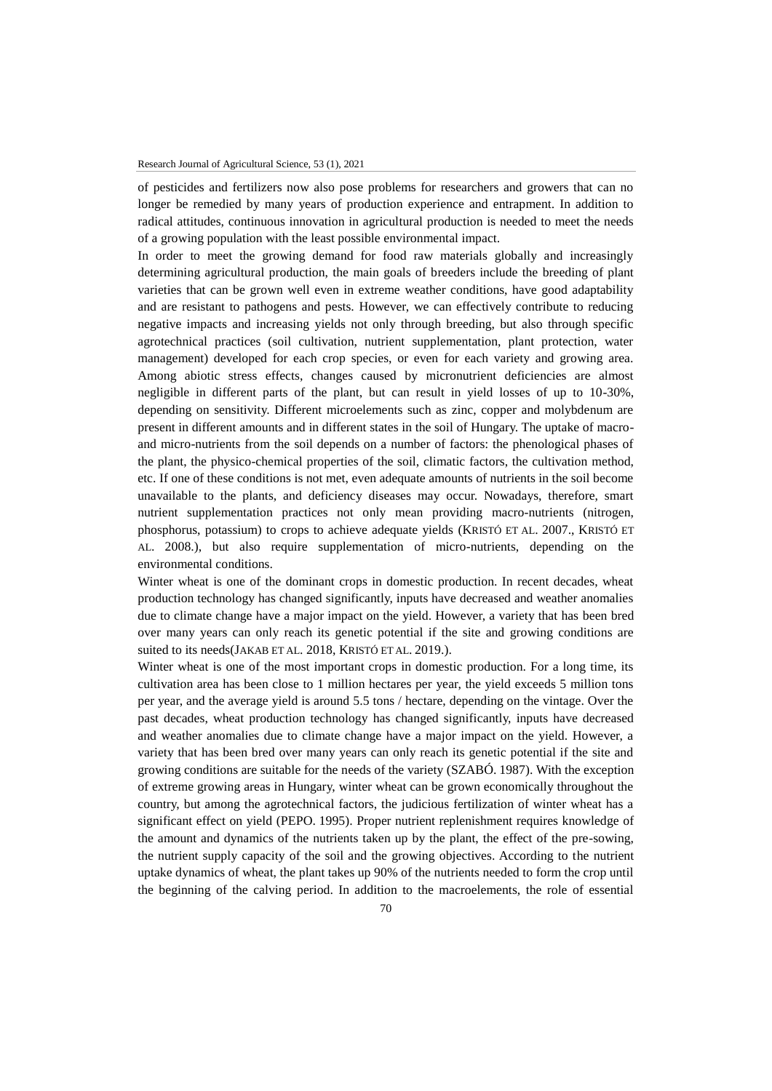of pesticides and fertilizers now also pose problems for researchers and growers that can no longer be remedied by many years of production experience and entrapment. In addition to radical attitudes, continuous innovation in agricultural production is needed to meet the needs of a growing population with the least possible environmental impact.

In order to meet the growing demand for food raw materials globally and increasingly determining agricultural production, the main goals of breeders include the breeding of plant varieties that can be grown well even in extreme weather conditions, have good adaptability and are resistant to pathogens and pests. However, we can effectively contribute to reducing negative impacts and increasing yields not only through breeding, but also through specific agrotechnical practices (soil cultivation, nutrient supplementation, plant protection, water management) developed for each crop species, or even for each variety and growing area. Among abiotic stress effects, changes caused by micronutrient deficiencies are almost negligible in different parts of the plant, but can result in yield losses of up to 10-30%, depending on sensitivity. Different microelements such as zinc, copper and molybdenum are present in different amounts and in different states in the soil of Hungary. The uptake of macroand micro-nutrients from the soil depends on a number of factors: the phenological phases of the plant, the physico-chemical properties of the soil, climatic factors, the cultivation method, etc. If one of these conditions is not met, even adequate amounts of nutrients in the soil become unavailable to the plants, and deficiency diseases may occur. Nowadays, therefore, smart nutrient supplementation practices not only mean providing macro-nutrients (nitrogen, phosphorus, potassium) to crops to achieve adequate yields (KRISTÓ ET AL. 2007., KRISTÓ ET AL. 2008.), but also require supplementation of micro-nutrients, depending on the environmental conditions.

Winter wheat is one of the dominant crops in domestic production. In recent decades, wheat production technology has changed significantly, inputs have decreased and weather anomalies due to climate change have a major impact on the yield. However, a variety that has been bred over many years can only reach its genetic potential if the site and growing conditions are suited to its needs(JAKAB ET AL. 2018, KRISTÓ ET AL. 2019.).

Winter wheat is one of the most important crops in domestic production. For a long time, its cultivation area has been close to 1 million hectares per year, the yield exceeds 5 million tons per year, and the average yield is around 5.5 tons / hectare, depending on the vintage. Over the past decades, wheat production technology has changed significantly, inputs have decreased and weather anomalies due to climate change have a major impact on the yield. However, a variety that has been bred over many years can only reach its genetic potential if the site and growing conditions are suitable for the needs of the variety (SZABÓ. 1987). With the exception of extreme growing areas in Hungary, winter wheat can be grown economically throughout the country, but among the agrotechnical factors, the judicious fertilization of winter wheat has a significant effect on yield (PEPO. 1995). Proper nutrient replenishment requires knowledge of the amount and dynamics of the nutrients taken up by the plant, the effect of the pre-sowing, the nutrient supply capacity of the soil and the growing objectives. According to the nutrient uptake dynamics of wheat, the plant takes up 90% of the nutrients needed to form the crop until the beginning of the calving period. In addition to the macroelements, the role of essential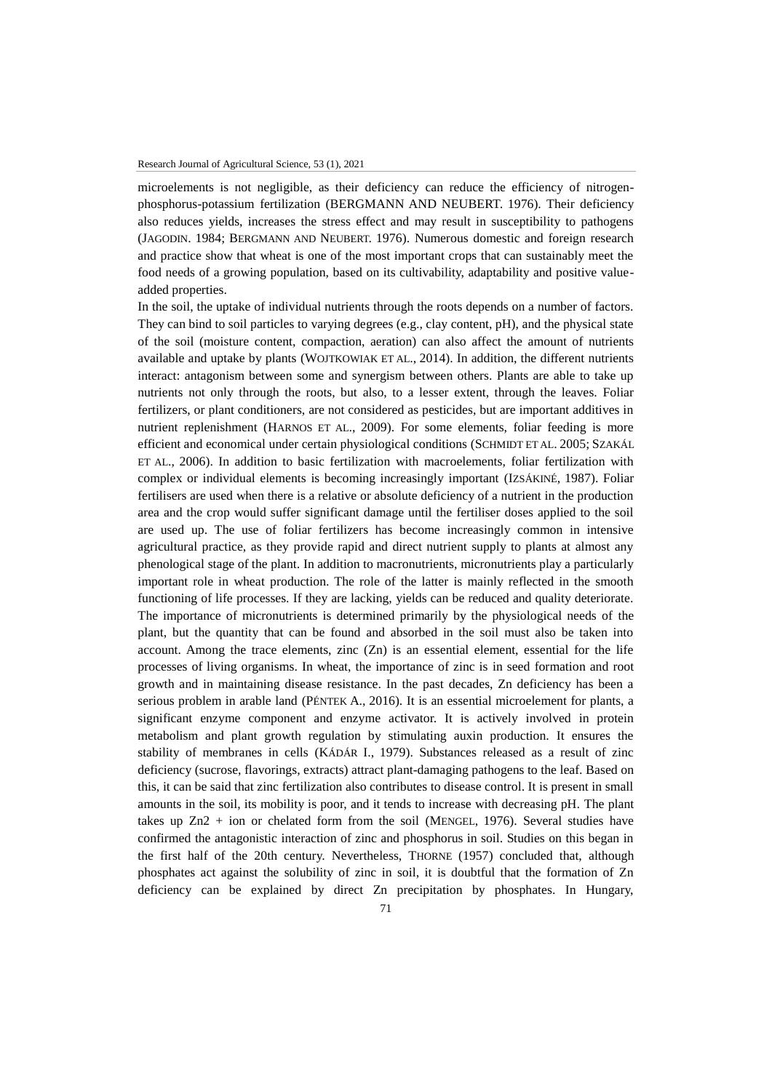microelements is not negligible, as their deficiency can reduce the efficiency of nitrogenphosphorus-potassium fertilization (BERGMANN AND NEUBERT. 1976). Their deficiency also reduces yields, increases the stress effect and may result in susceptibility to pathogens (JAGODIN. 1984; BERGMANN AND NEUBERT. 1976). Numerous domestic and foreign research and practice show that wheat is one of the most important crops that can sustainably meet the food needs of a growing population, based on its cultivability, adaptability and positive valueadded properties.

In the soil, the uptake of individual nutrients through the roots depends on a number of factors. They can bind to soil particles to varying degrees (e.g., clay content, pH), and the physical state of the soil (moisture content, compaction, aeration) can also affect the amount of nutrients available and uptake by plants (WOJTKOWIAK ET AL., 2014). In addition, the different nutrients interact: antagonism between some and synergism between others. Plants are able to take up nutrients not only through the roots, but also, to a lesser extent, through the leaves. Foliar fertilizers, or plant conditioners, are not considered as pesticides, but are important additives in nutrient replenishment (HARNOS ET AL., 2009). For some elements, foliar feeding is more efficient and economical under certain physiological conditions (SCHMIDT ET AL. 2005; SZAKÁL ET AL., 2006). In addition to basic fertilization with macroelements, foliar fertilization with complex or individual elements is becoming increasingly important (IZSÁKINÉ, 1987). Foliar fertilisers are used when there is a relative or absolute deficiency of a nutrient in the production area and the crop would suffer significant damage until the fertiliser doses applied to the soil are used up. The use of foliar fertilizers has become increasingly common in intensive agricultural practice, as they provide rapid and direct nutrient supply to plants at almost any phenological stage of the plant. In addition to macronutrients, micronutrients play a particularly important role in wheat production. The role of the latter is mainly reflected in the smooth functioning of life processes. If they are lacking, yields can be reduced and quality deteriorate. The importance of micronutrients is determined primarily by the physiological needs of the plant, but the quantity that can be found and absorbed in the soil must also be taken into account. Among the trace elements, zinc  $(Zn)$  is an essential element, essential for the life processes of living organisms. In wheat, the importance of zinc is in seed formation and root growth and in maintaining disease resistance. In the past decades, Zn deficiency has been a serious problem in arable land (PÉNTEK A., 2016). It is an essential microelement for plants, a significant enzyme component and enzyme activator. It is actively involved in protein metabolism and plant growth regulation by stimulating auxin production. It ensures the stability of membranes in cells (KÁDÁR I., 1979). Substances released as a result of zinc deficiency (sucrose, flavorings, extracts) attract plant-damaging pathogens to the leaf. Based on this, it can be said that zinc fertilization also contributes to disease control. It is present in small amounts in the soil, its mobility is poor, and it tends to increase with decreasing pH. The plant takes up Zn2 + ion or chelated form from the soil (MENGEL, 1976). Several studies have confirmed the antagonistic interaction of zinc and phosphorus in soil. Studies on this began in the first half of the 20th century. Nevertheless, THORNE (1957) concluded that, although phosphates act against the solubility of zinc in soil, it is doubtful that the formation of Zn deficiency can be explained by direct Zn precipitation by phosphates. In Hungary,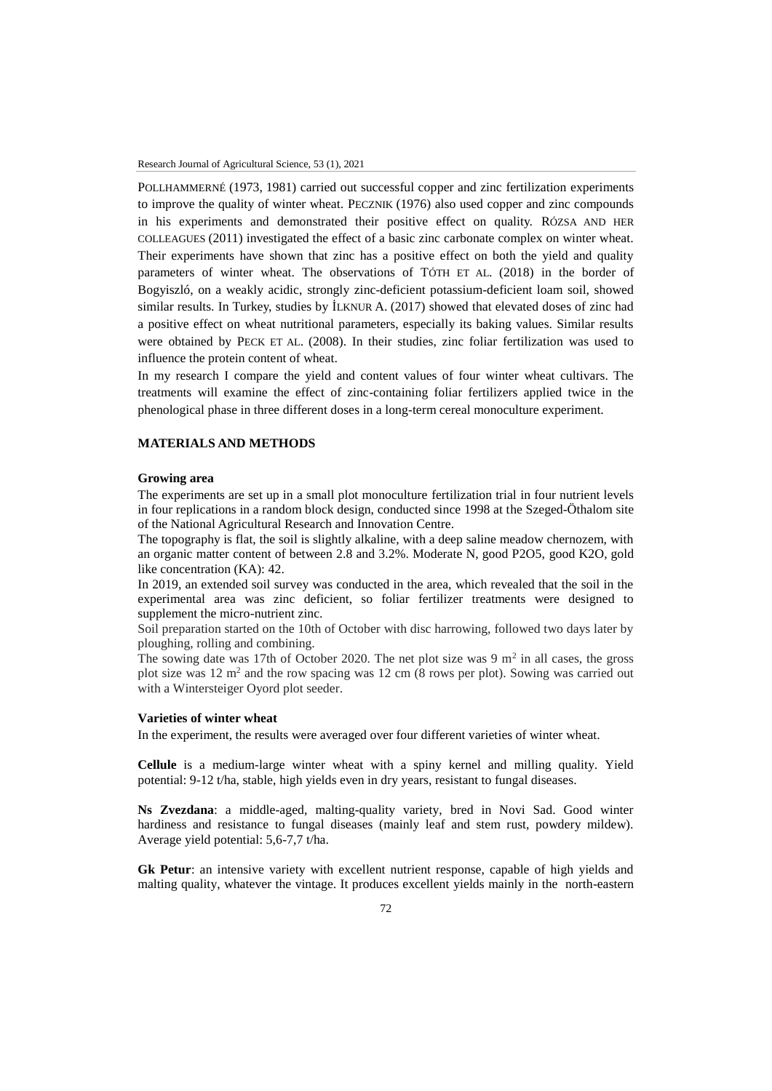POLLHAMMERNÉ (1973, 1981) carried out successful copper and zinc fertilization experiments to improve the quality of winter wheat. PECZNIK (1976) also used copper and zinc compounds in his experiments and demonstrated their positive effect on quality. RÓZSA AND HER COLLEAGUES (2011) investigated the effect of a basic zinc carbonate complex on winter wheat. Their experiments have shown that zinc has a positive effect on both the yield and quality parameters of winter wheat. The observations of TÓTH ET AL. (2018) in the border of Bogyiszló, on a weakly acidic, strongly zinc-deficient potassium-deficient loam soil, showed similar results. In Turkey, studies by İLKNUR A. (2017) showed that elevated doses of zinc had a positive effect on wheat nutritional parameters, especially its baking values. Similar results were obtained by PECK ET AL. (2008). In their studies, zinc foliar fertilization was used to influence the protein content of wheat.

In my research I compare the yield and content values of four winter wheat cultivars. The treatments will examine the effect of zinc-containing foliar fertilizers applied twice in the phenological phase in three different doses in a long-term cereal monoculture experiment.

#### **MATERIALS AND METHODS**

### **Growing area**

The experiments are set up in a small plot monoculture fertilization trial in four nutrient levels in four replications in a random block design, conducted since 1998 at the Szeged-Öthalom site of the National Agricultural Research and Innovation Centre.

The topography is flat, the soil is slightly alkaline, with a deep saline meadow chernozem, with an organic matter content of between 2.8 and 3.2%. Moderate N, good P2O5, good K2O, gold like concentration (KA): 42.

In 2019, an extended soil survey was conducted in the area, which revealed that the soil in the experimental area was zinc deficient, so foliar fertilizer treatments were designed to supplement the micro-nutrient zinc.

Soil preparation started on the 10th of October with disc harrowing, followed two days later by ploughing, rolling and combining.

The sowing date was 17th of October 2020. The net plot size was 9  $m^2$  in all cases, the gross plot size was  $12 \text{ m}^2$  and the row spacing was  $12 \text{ cm}$  (8 rows per plot). Sowing was carried out with a Wintersteiger Oyord plot seeder.

### **Varieties of winter wheat**

In the experiment, the results were averaged over four different varieties of winter wheat.

**Cellule** is a medium-large winter wheat with a spiny kernel and milling quality. Yield potential: 9-12 t/ha, stable, high yields even in dry years, resistant to fungal diseases.

**Ns Zvezdana**: a middle-aged, malting-quality variety, bred in Novi Sad. Good winter hardiness and resistance to fungal diseases (mainly leaf and stem rust, powdery mildew). Average yield potential: 5,6-7,7 t/ha.

**Gk Petur**: an intensive variety with excellent nutrient response, capable of high yields and malting quality, whatever the vintage. It produces excellent yields mainly in the north-eastern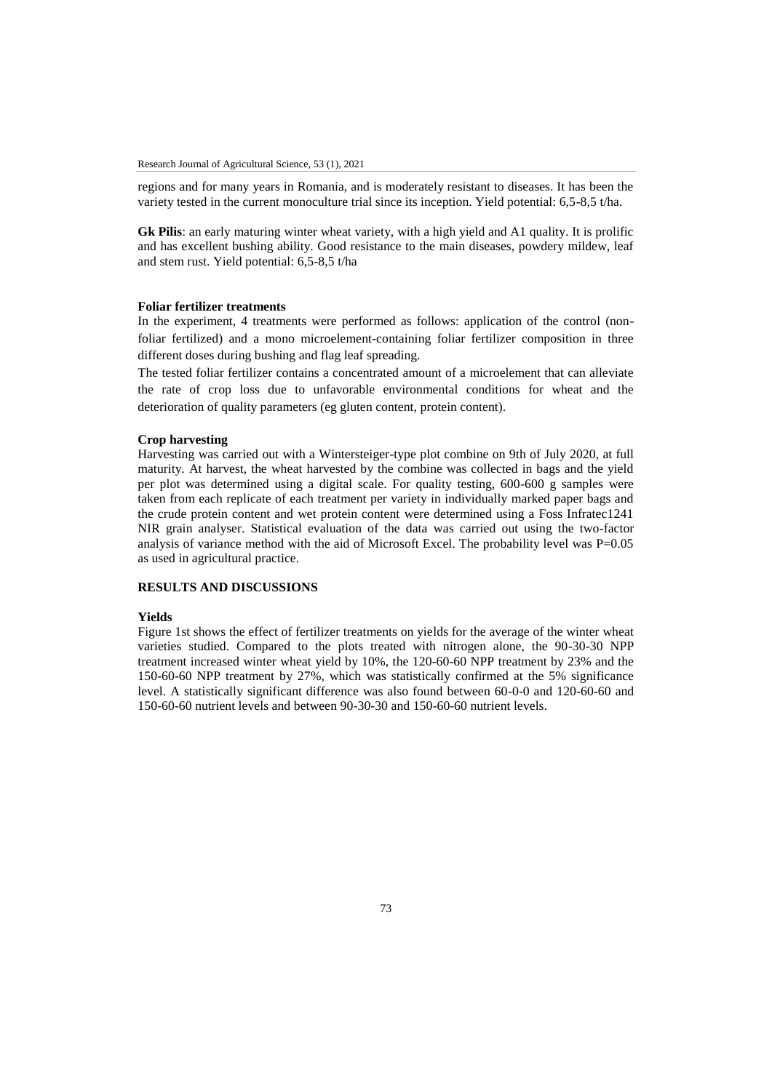regions and for many years in Romania, and is moderately resistant to diseases. It has been the variety tested in the current monoculture trial since its inception. Yield potential: 6,5-8,5 t/ha.

**Gk Pilis**: an early maturing winter wheat variety, with a high yield and A1 quality. It is prolific and has excellent bushing ability. Good resistance to the main diseases, powdery mildew, leaf and stem rust. Yield potential: 6,5-8,5 t/ha

### **Foliar fertilizer treatments**

In the experiment, 4 treatments were performed as follows: application of the control (nonfoliar fertilized) and a mono microelement-containing foliar fertilizer composition in three different doses during bushing and flag leaf spreading.

The tested foliar fertilizer contains a concentrated amount of a microelement that can alleviate the rate of crop loss due to unfavorable environmental conditions for wheat and the deterioration of quality parameters (eg gluten content, protein content).

### **Crop harvesting**

Harvesting was carried out with a Wintersteiger-type plot combine on 9th of July 2020, at full maturity. At harvest, the wheat harvested by the combine was collected in bags and the yield per plot was determined using a digital scale. For quality testing, 600-600 g samples were taken from each replicate of each treatment per variety in individually marked paper bags and the crude protein content and wet protein content were determined using a Foss Infratec1241 NIR grain analyser. Statistical evaluation of the data was carried out using the two-factor analysis of variance method with the aid of Microsoft Excel. The probability level was  $P=0.05$ as used in agricultural practice.

# **RESULTS AND DISCUSSIONS**

# **Yields**

Figure 1st shows the effect of fertilizer treatments on yields for the average of the winter wheat varieties studied. Compared to the plots treated with nitrogen alone, the 90-30-30 NPP treatment increased winter wheat yield by 10%, the 120-60-60 NPP treatment by 23% and the 150-60-60 NPP treatment by 27%, which was statistically confirmed at the 5% significance level. A statistically significant difference was also found between 60-0-0 and 120-60-60 and 150-60-60 nutrient levels and between 90-30-30 and 150-60-60 nutrient levels.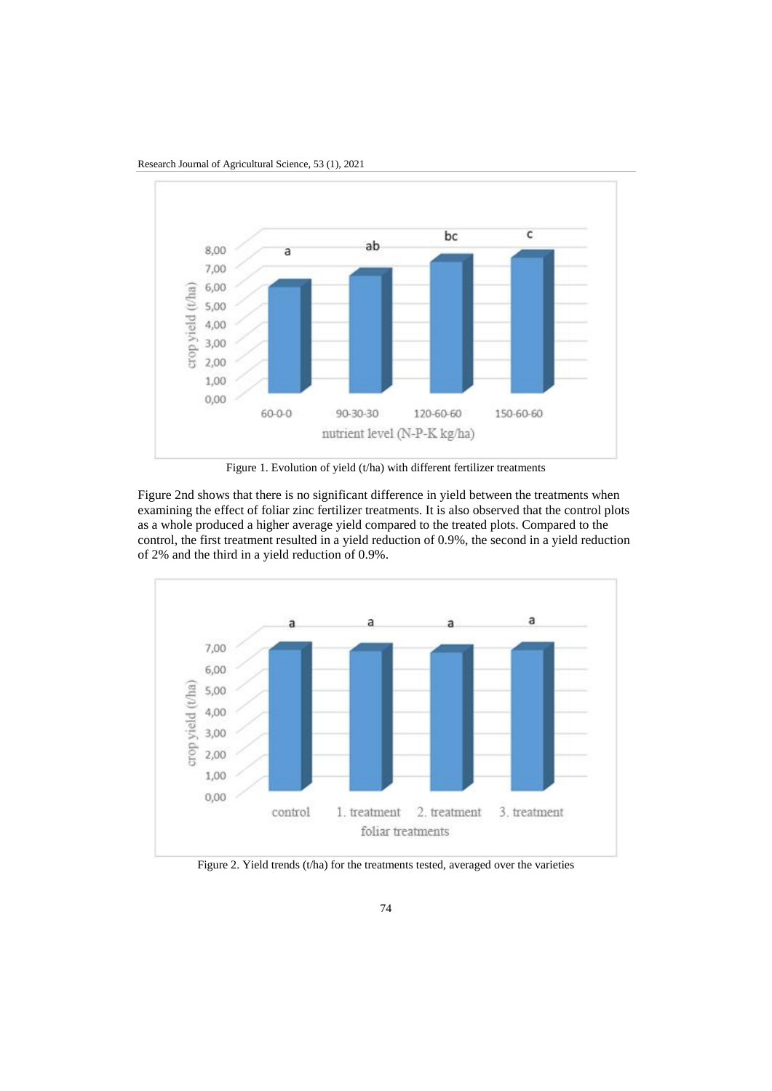

Research Journal of Agricultural Science, 53 (1), 2021

Figure 1. Evolution of yield (t/ha) with different fertilizer treatments

Figure 2nd shows that there is no significant difference in yield between the treatments when examining the effect of foliar zinc fertilizer treatments. It is also observed that the control plots as a whole produced a higher average yield compared to the treated plots. Compared to the control, the first treatment resulted in a yield reduction of 0.9%, the second in a yield reduction of 2% and the third in a yield reduction of 0.9%.



Figure 2. Yield trends (t/ha) for the treatments tested, averaged over the varieties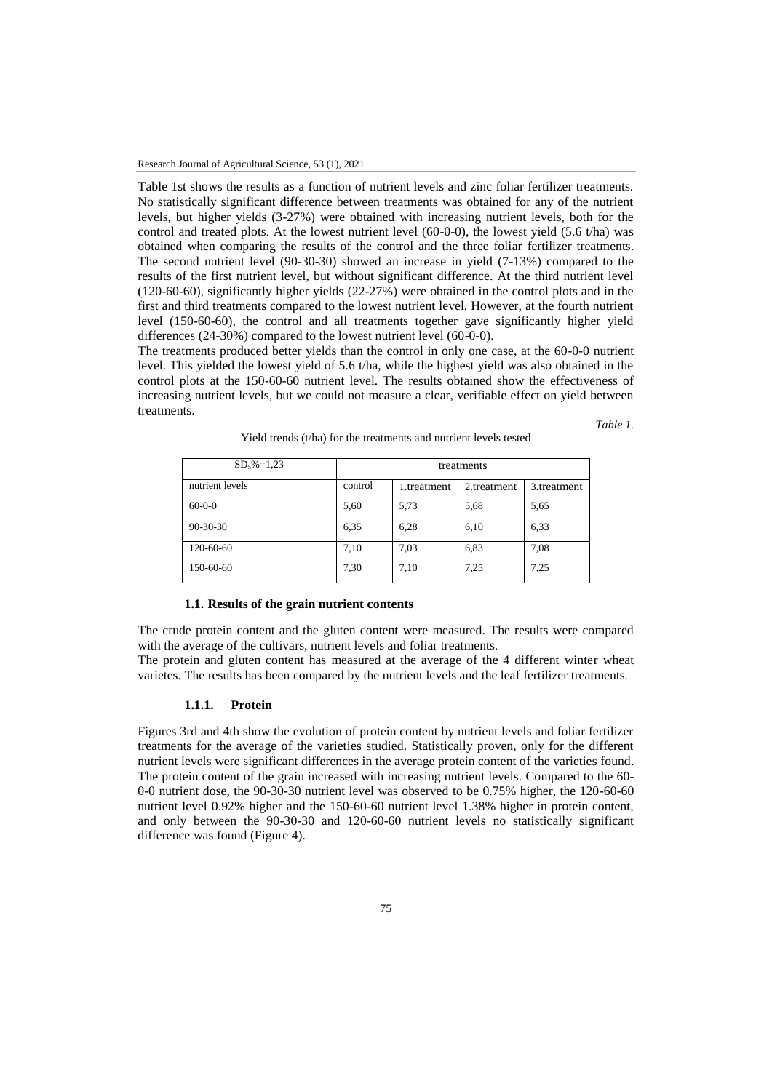Table 1st shows the results as a function of nutrient levels and zinc foliar fertilizer treatments. No statistically significant difference between treatments was obtained for any of the nutrient levels, but higher yields (3-27%) were obtained with increasing nutrient levels, both for the control and treated plots. At the lowest nutrient level (60-0-0), the lowest yield (5.6 t/ha) was obtained when comparing the results of the control and the three foliar fertilizer treatments. The second nutrient level (90-30-30) showed an increase in yield (7-13%) compared to the results of the first nutrient level, but without significant difference. At the third nutrient level (120-60-60), significantly higher yields (22-27%) were obtained in the control plots and in the first and third treatments compared to the lowest nutrient level. However, at the fourth nutrient level (150-60-60), the control and all treatments together gave significantly higher yield differences (24-30%) compared to the lowest nutrient level (60-0-0).

The treatments produced better yields than the control in only one case, at the 60-0-0 nutrient level. This yielded the lowest yield of 5.6 t/ha, while the highest yield was also obtained in the control plots at the 150-60-60 nutrient level. The results obtained show the effectiveness of increasing nutrient levels, but we could not measure a clear, verifiable effect on yield between treatments.

*Table 1.* 

| $SD_5\% = 1,23$ | treatments |             |             |             |
|-----------------|------------|-------------|-------------|-------------|
| nutrient levels | control    | 1.treatment | 2.treatment | 3.treatment |
| $60 - 0 - 0$    | 5,60       | 5,73        | 5.68        | 5.65        |
| $90 - 30 - 30$  | 6,35       | 6,28        | 6,10        | 6.33        |
| 120-60-60       | 7,10       | 7.03        | 6,83        | 7.08        |
| 150-60-60       | 7,30       | 7,10        | 7,25        | 7,25        |

Yield trends (t/ha) for the treatments and nutrient levels tested

### **1.1. Results of the grain nutrient contents**

The crude protein content and the gluten content were measured. The results were compared with the average of the cultivars, nutrient levels and foliar treatments.

The protein and gluten content has measured at the average of the 4 different winter wheat varietes. The results has been compared by the nutrient levels and the leaf fertilizer treatments.

# **1.1.1. Protein**

Figures 3rd and 4th show the evolution of protein content by nutrient levels and foliar fertilizer treatments for the average of the varieties studied. Statistically proven, only for the different nutrient levels were significant differences in the average protein content of the varieties found. The protein content of the grain increased with increasing nutrient levels. Compared to the 60- 0-0 nutrient dose, the 90-30-30 nutrient level was observed to be 0.75% higher, the 120-60-60 nutrient level 0.92% higher and the 150-60-60 nutrient level 1.38% higher in protein content, and only between the 90-30-30 and 120-60-60 nutrient levels no statistically significant difference was found (Figure 4).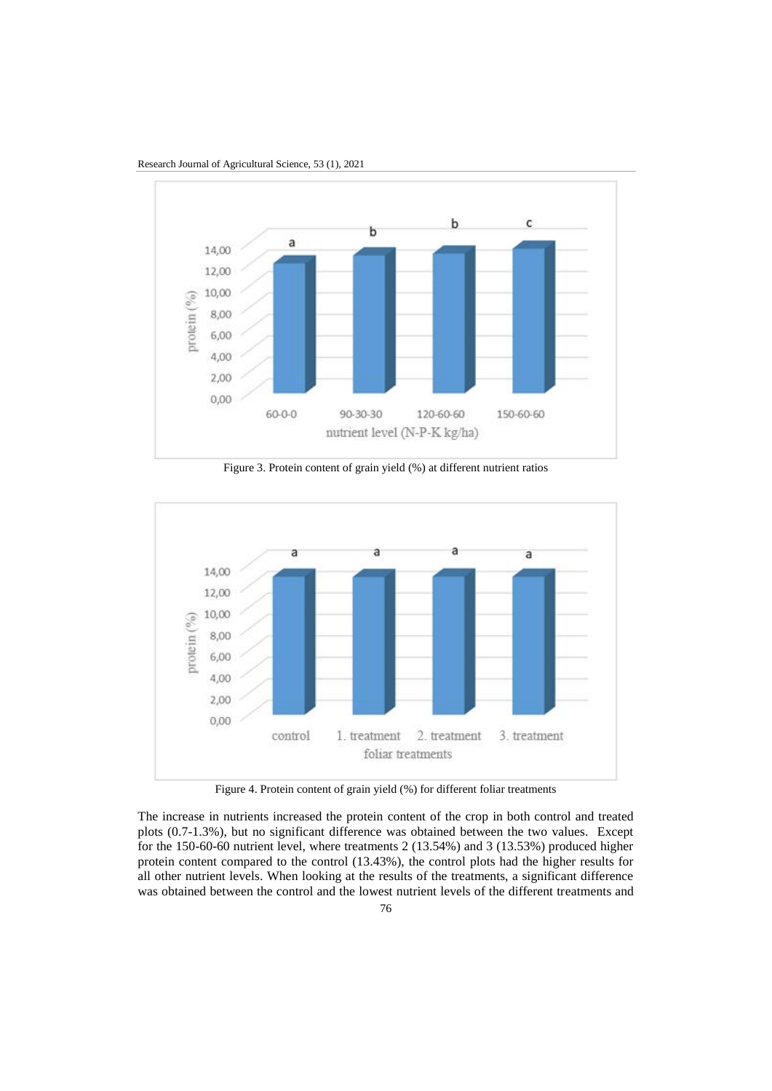

Research Journal of Agricultural Science, 53 (1), 2021

Figure 3. Protein content of grain yield (%) at different nutrient ratios



Figure 4. Protein content of grain yield (%) for different foliar treatments

The increase in nutrients increased the protein content of the crop in both control and treated plots (0.7-1.3%), but no significant difference was obtained between the two values. Except for the 150-60-60 nutrient level, where treatments 2 (13.54%) and 3 (13.53%) produced higher protein content compared to the control (13.43%), the control plots had the higher results for all other nutrient levels. When looking at the results of the treatments, a significant difference was obtained between the control and the lowest nutrient levels of the different treatments and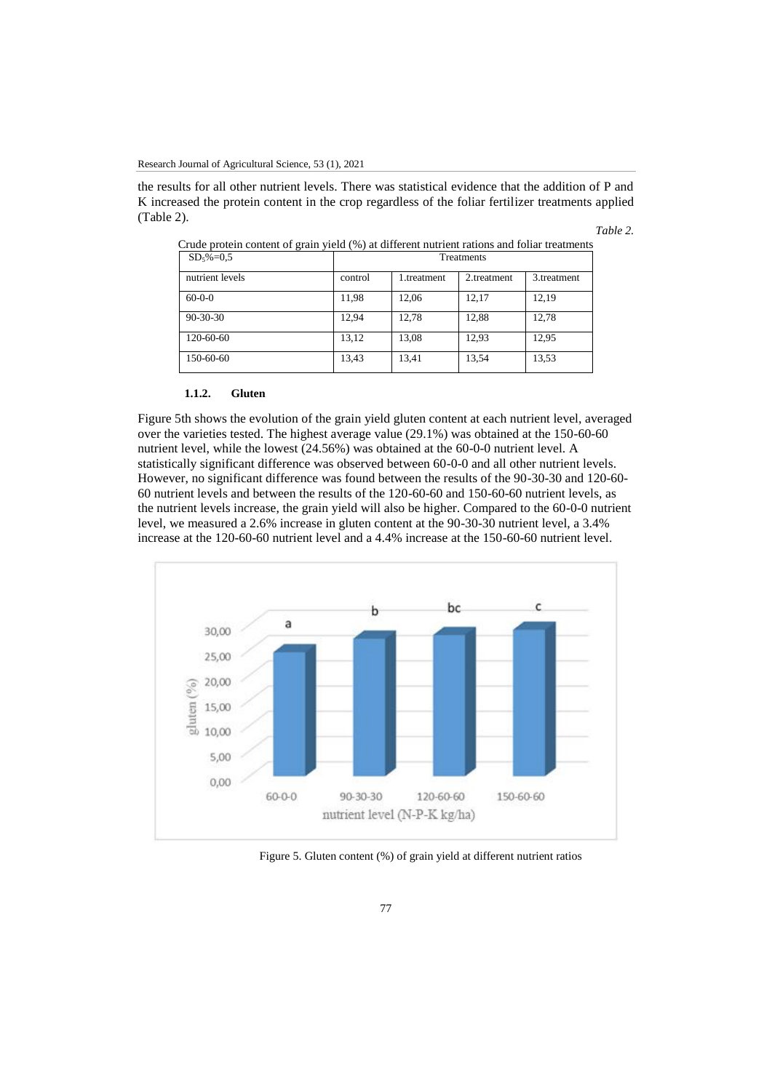the results for all other nutrient levels. There was statistical evidence that the addition of P and K increased the protein content in the crop regardless of the foliar fertilizer treatments applied (Table 2).

| Table |  |
|-------|--|
|-------|--|

| ັ<br>╯          | $\sim$ $\sim$ |            |             |             |
|-----------------|---------------|------------|-------------|-------------|
| $SD_5\% = 0.5$  | Treatments    |            |             |             |
| nutrient levels | control       | .treatment | 2.treatment | 3.treatment |
| $60-0-0$        | 11,98         | 12,06      | 12,17       | 12,19       |
| $90 - 30 - 30$  | 12,94         | 12,78      | 12,88       | 12,78       |
| 120-60-60       | 13,12         | 13,08      | 12,93       | 12,95       |
| 150-60-60       | 13,43         | 13,41      | 13,54       | 13,53       |

Crude protein content of grain yield (%) at different nutrient rations and foliar treatments

### **1.1.2. Gluten**

Figure 5th shows the evolution of the grain yield gluten content at each nutrient level, averaged over the varieties tested. The highest average value (29.1%) was obtained at the 150-60-60 nutrient level, while the lowest (24.56%) was obtained at the 60-0-0 nutrient level. A statistically significant difference was observed between 60-0-0 and all other nutrient levels. However, no significant difference was found between the results of the 90-30-30 and 120-60- 60 nutrient levels and between the results of the 120-60-60 and 150-60-60 nutrient levels, as the nutrient levels increase, the grain yield will also be higher. Compared to the 60-0-0 nutrient level, we measured a 2.6% increase in gluten content at the 90-30-30 nutrient level, a 3.4% increase at the 120-60-60 nutrient level and a 4.4% increase at the 150-60-60 nutrient level.



Figure 5. Gluten content (%) of grain yield at different nutrient ratios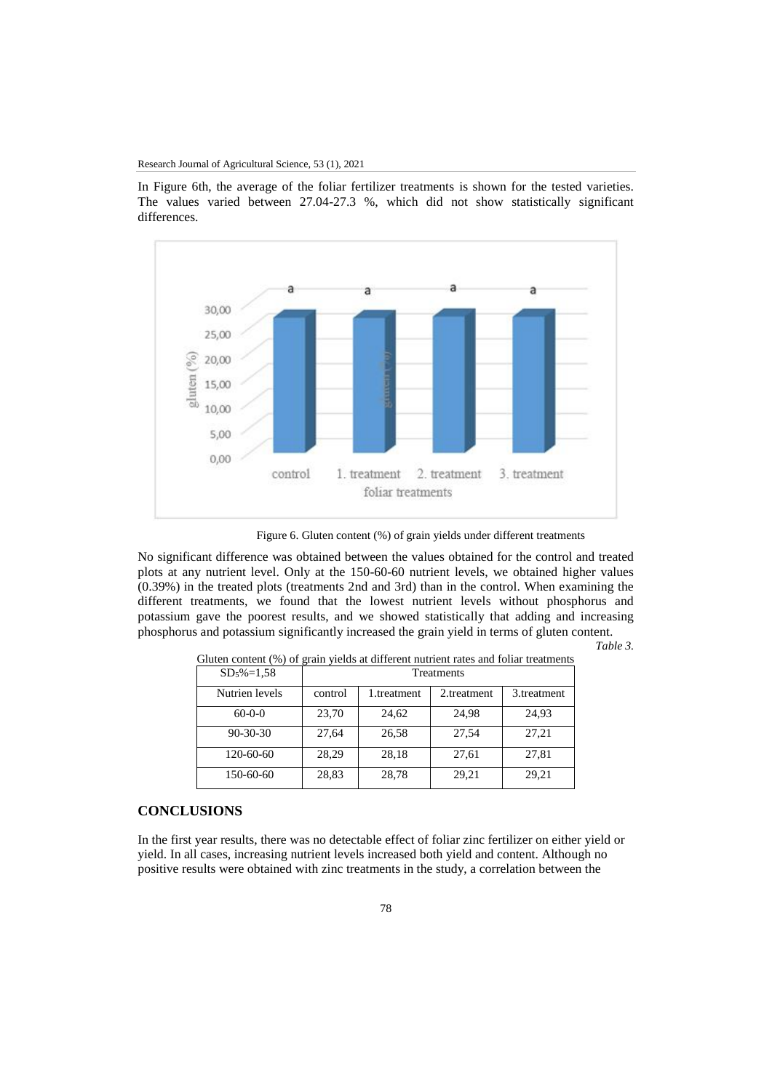In Figure 6th, the average of the foliar fertilizer treatments is shown for the tested varieties. The values varied between 27.04-27.3 %, which did not show statistically significant differences.



Figure 6. Gluten content (%) of grain yields under different treatments

No significant difference was obtained between the values obtained for the control and treated plots at any nutrient level. Only at the 150-60-60 nutrient levels, we obtained higher values (0.39%) in the treated plots (treatments 2nd and 3rd) than in the control. When examining the different treatments, we found that the lowest nutrient levels without phosphorus and potassium gave the poorest results, and we showed statistically that adding and increasing phosphorus and potassium significantly increased the grain yield in terms of gluten content.

*Table 3.* 

| $SD5%=1,58$    | <b>Treatments</b> |             |             |             |  |
|----------------|-------------------|-------------|-------------|-------------|--|
| Nutrien levels | control           | 1.treatment | 2.treatment | 3.treatment |  |
| $60 - 0 - 0$   | 23,70             | 24,62       | 24.98       | 24,93       |  |
| $90 - 30 - 30$ | 27,64             | 26,58       | 27.54       | 27,21       |  |
| 120-60-60      | 28,29             | 28,18       | 27,61       | 27,81       |  |
| 150-60-60      | 28,83             | 28,78       | 29,21       | 29,21       |  |

Gluten content (%) of grain yields at different nutrient rates and foliar treatments

# **CONCLUSIONS**

In the first year results, there was no detectable effect of foliar zinc fertilizer on either yield or yield. In all cases, increasing nutrient levels increased both yield and content. Although no positive results were obtained with zinc treatments in the study, a correlation between the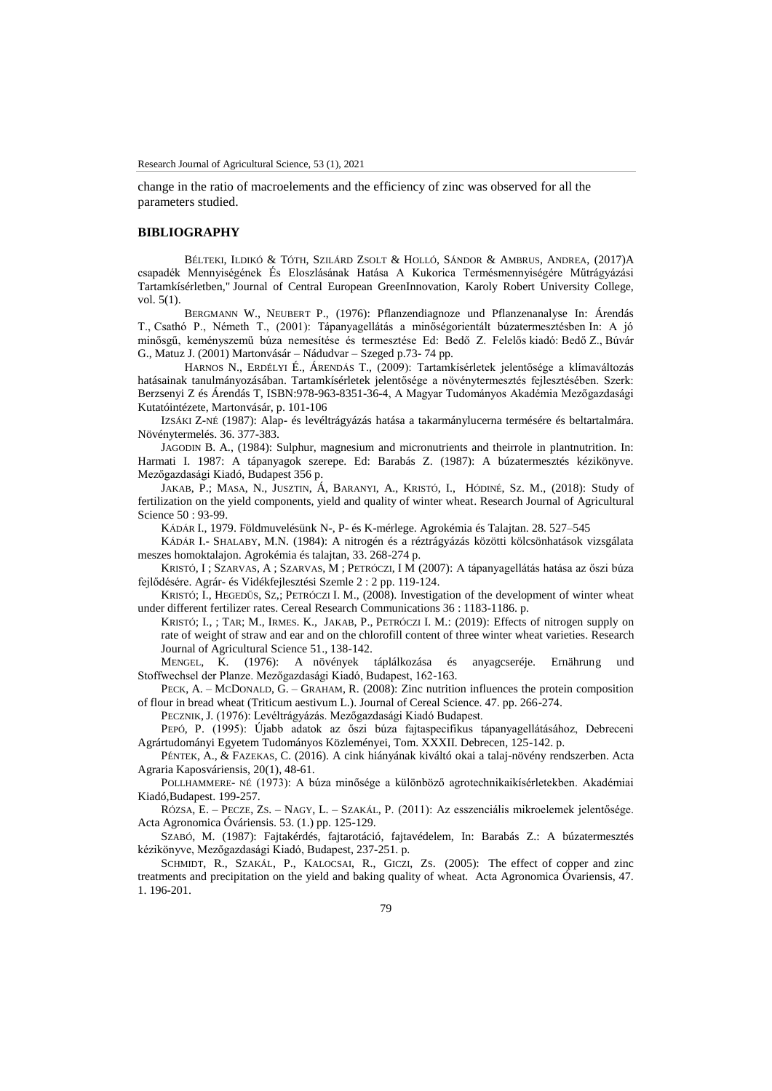change in the ratio of macroelements and the efficiency of zinc was observed for all the parameters studied.

# **BIBLIOGRAPHY**

BÉLTEKI, ILDIKÓ & TÓTH, SZILÁRD ZSOLT & HOLLÓ, SÁNDOR & AMBRUS, ANDREA, (2017[\)A](https://ideas.repec.org/a/ags/hukrgr/265398.html)  [csapadék Mennyiségének És Eloszlásának Hatása A Kukorica Termésmennyiségére Műtrágyázási](https://ideas.repec.org/a/ags/hukrgr/265398.html)  [Tartamkísérletben,](https://ideas.repec.org/a/ags/hukrgr/265398.html)" [Journal of Central European GreenInnovation,](https://ideas.repec.org/s/ags/hukrgr.html) Karoly Robert University College, vol. 5(1).

BERGMANN W., NEUBERT P., (1976): Pflanzendiagnoze und Pflanzenanalyse In: Árendás T., Csathó P., Németh T., (2001): Tápanyagellátás a minőségorientált búzatermesztésben In: A jó minősgű, keményszemű búza nemesítése és termesztése Ed: Bedő Z. Felelős kiadó: Bedő Z., Búvár G., Matuz J. (2001) Martonvásár – Nádudvar – Szeged p.73- 74 pp.

HARNOS N., ERDÉLYI É., ÁRENDÁS T., (2009): Tartamkísérletek jelentősége a klímaváltozás hatásainak tanulmányozásában. Tartamkísérletek jelentősége a növénytermesztés fejlesztésében. Szerk: Berzsenyi Z és Árendás T, ISBN:978-963-8351-36-4, A Magyar Tudományos Akadémia Mezőgazdasági Kutatóintézete, Martonvásár, p. 101-106

IZSÁKI Z-NÉ (1987): Alap- és levéltrágyázás hatása a takarmánylucerna termésére és beltartalmára. Növénytermelés. 36. 377-383.

JAGODIN B. A., (1984): Sulphur, magnesium and micronutrients and theirrole in plantnutrition. In: Harmati I. 1987: A tápanyagok szerepe. Ed: Barabás Z. (1987): A búzatermesztés kézikönyve. Mezőgazdasági Kiadó, Budapest 356 p.

JAKAB, P.; MASA, N., JUSZTIN, Á, B[ARANYI](https://m2.mtmt.hu/api/author/10063020), A., K[RISTÓ](https://m2.mtmt.hu/api/author/10013604), I., H[ÓDINÉ](https://m2.mtmt.hu/api/author/10029639), SZ. M., (2018): [Study of](https://m2.mtmt.hu/api/publication/3389433)  [fertilization on the yield components, yield and quality of winter wheat.](https://m2.mtmt.hu/api/publication/3389433) Research Journal of Agricultural Science 50 : 93-99.

KÁDÁR I., 1979. Földmuvelésünk N-, P- és K-mérlege. Agrokémia és Talajtan. 28. 527–545

KÁDÁR I.- SHALABY, M.N. (1984): A nitrogén és a réztrágyázás közötti kölcsönhatások vizsgálata meszes homoktalajon. Agrokémia és talajtan, 33. 268-274 p.

K[RISTÓ](https://m2.mtmt.hu/api/author/10013604), I ; S[ZARVAS](https://m2.mtmt.hu/api/author/10060197), A ; SZARVAS, M ; P[ETRÓCZI](https://m2.mtmt.hu/api/author/10010884), I M (2007): [A tápanyagellátás hatása az őszi búza](https://m2.mtmt.hu/api/publication/2046321)  [fejlődésére.](https://m2.mtmt.hu/api/publication/2046321) Agrár- és Vidékfejlesztési Szemle 2 : 2 pp. 119-124.

K[RISTÓ](https://m2.mtmt.hu/api/author/10013604); I., HEGEDŰS, SZ,; P[ETRÓCZI](https://m2.mtmt.hu/api/author/10010884) I. M., (2008). [Investigation of the development of winter wheat](https://m2.mtmt.hu/api/publication/2057212)  [under different fertilizer rates.](https://m2.mtmt.hu/api/publication/2057212) Cereal Research Communications 36 : 1183-1186. p.

K[RISTÓ](https://m2.mtmt.hu/api/author/10013604); I., ; TAR; M., IRMES. K., J[AKAB](https://m2.mtmt.hu/api/author/10013064), P., PETRÓCZI I. M.: (2019): [Effects of nitrogen supply on](https://m2.mtmt.hu/api/publication/30825856)  [rate of weight of straw and ear and on the chlorofill content of three winter wheat varieties.](https://m2.mtmt.hu/api/publication/30825856) Research Journal of Agricultural Science 51., 138-142.

MENGEL, K. (1976): A növények táplálkozása és anyagcseréje. Ernährung und Stoffwechsel der Planze. Mezőgazdasági Kiadó, Budapest, 162-163.

PECK, A. – MCDONALD, G. – GRAHAM, R. (2008): Zinc nutrition influences the protein composition of flour in bread wheat (Triticum aestivum L.). Journal of Cereal Science. 47. pp. 266-274.

PECZNIK, J. (1976): Levéltrágyázás. Mezőgazdasági Kiadó Budapest.

PEPÓ, P. (1995): Újabb adatok az őszi búza fajtaspecifikus tápanyagellátásához, Debreceni Agrártudományi Egyetem Tudományos Közleményei, Tom. XXXII. Debrecen, 125-142. p.

PÉNTEK, A., & FAZEKAS, C. (2016). A cink hiányának kiváltó okai a talaj-növény rendszerben. Acta Agraria Kaposváriensis, 20(1), 48-61.

POLLHAMMERE- NÉ (1973): A búza minősége a különböző agrotechnikaikísérletekben. Akadémiai Kiadó,Budapest. 199-257.

RÓZSA, E. – PECZE, ZS. – NAGY, L. – SZAKÁL, P. (2011): Az esszenciális mikroelemek jelentősége. Acta Agronomica Óváriensis. 53. (1.) pp. 125-129.

SZABÓ, M. (1987): Fajtakérdés, fajtarotáció, fajtavédelem, In: Barabás Z.: A búzatermesztés kézikönyve, Mezőgazdasági Kiadó, Budapest, 237-251. p.

SCHMIDT, R., SZAKÁL, P., KALOCSAI, R., GICZI, ZS. (2005): The effect of copper and zinc treatments and precipitation on the yield and baking quality of wheat. Acta Agronomica Óvariensis, 47. 1. 196-201.